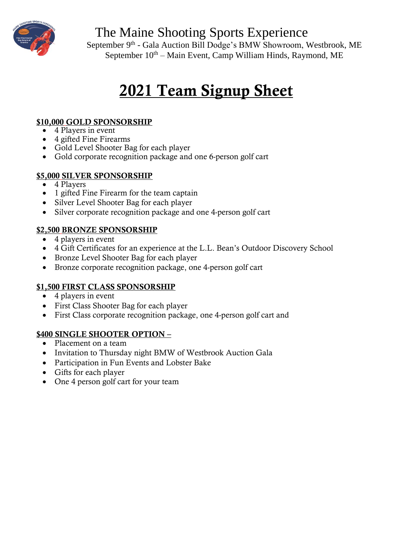

The Maine Shooting Sports Experience

September 9<sup>th</sup> - Gala Auction Bill Dodge's BMW Showroom, Westbrook, ME September  $10^{th}$  – Main Event, Camp William Hinds, Raymond, ME

# 2021 Team Signup Sheet

#### \$10,000 GOLD SPONSORSHIP

- 4 Players in event
- 4 gifted Fine Firearms
- Gold Level Shooter Bag for each player
- Gold corporate recognition package and one 6-person golf cart

#### \$5,000 SILVER SPONSORSHIP

- 4 Players
- 1 gifted Fine Firearm for the team captain
- Silver Level Shooter Bag for each player
- Silver corporate recognition package and one 4-person golf cart

#### \$2,500 BRONZE SPONSORSHIP

- 4 players in event
- 4 Gift Certificates for an experience at the L.L. Bean's Outdoor Discovery School
- Bronze Level Shooter Bag for each player
- Bronze corporate recognition package, one 4-person golf cart

#### \$1,500 FIRST CLASS SPONSORSHIP

- 4 players in event
- First Class Shooter Bag for each player
- First Class corporate recognition package, one 4-person golf cart and

#### \$400 SINGLE SHOOTER OPTION –

- Placement on a team
- Invitation to Thursday night BMW of Westbrook Auction Gala
- Participation in Fun Events and Lobster Bake
- Gifts for each player
- One 4 person golf cart for your team